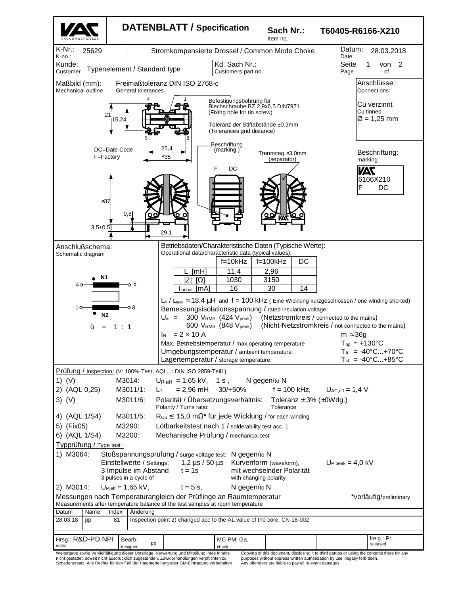

nicht gestattet, soweit nicht ausdrücklich zugestanden. Zuwiderhandlungen verpflichten zu Schadenersatz. Alle Rechte für den Fall der Patenterteilung oder GM-Eintragung vorbehalten

purposes without express written authorization by use illegally forbidden. Any offenders are liable to pay all relevant damages.